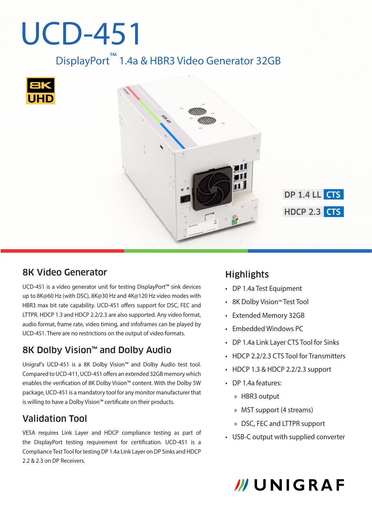# UCD-451

DisplayPort™ 1.4a & HBR3 Video Generator 32GB





**DP 1.4 LL CTS HDCP 2.3 CTS** 

#### 8K Video Generator

UCD-451 is a video generator unit for testing DisplayPort™ sink devices up to 8K@60 Hz (with DSC), 8K@30 Hz and 4K@120 Hz video modes with HBR3 max bit rate capability. UCD-451 offers support for DSC, FEC and LTTPR. HDCP 1.3 and HDCP 2.2/2.3 are also supported. Any video format, audio format, frame rate, video timing, and infoframes can be played by UCD-451. There are no restrictions on the output of video formats.

#### 8K Dolby Vision™ and Dolby Audio

Unigraf's UCD-451 is a 8K Dolby Vision™ and Dolby Audio test tool. Compared to UCD-411, UCD-451 offers an extended 32GB memory which enables the verification of 8K Dolby Vision™ content. With the Dolby SW package, UCD-451 is a mandatory tool for any monitor manufacturer that is willing to have a Dolby Vision™ certificate on their products.

#### Validation Tool

VESA requires Link Layer and HDCP compliance testing as part of the DisplayPort testing requirement for certification. UCD-451 is a Compliance Test Tool for testing DP 1.4a Link Layer on DP Sinks and HDCP 2.2 & 2.3 on DP Receivers.

#### **Highlights**

- DP 1.4a Test Equipment
- 8K Dolby Vision™ Test Tool
- Extended Memory 32GB
- Embedded Windows PC
- DP 1.4a Link Layer CTS Tool for Sinks
- HDCP 2.2/2.3 CTS Tool for Transmitters
- HDCP 1.3 & HDCP 2.2/2.3 support
- DP 1.4a features:
	- x HBR3 output
	- x MST support (4 streams)
	- x DSC, FEC and LTTPR support
- USB-C output with supplied converter